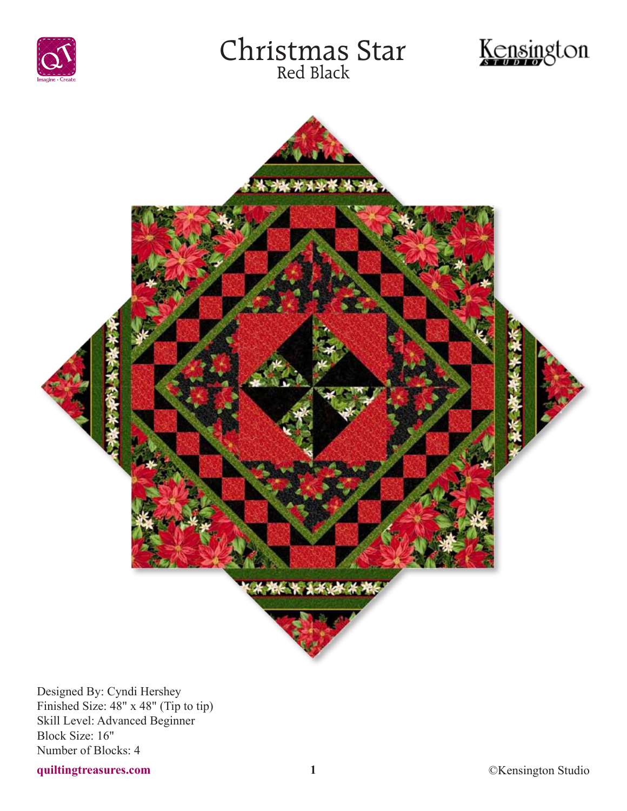





Designed By: Cyndi Hershey Finished Size: 48" x 48" (Tip to tip) Skill Level: Advanced Beginner Block Size: 16" Number of Blocks: 4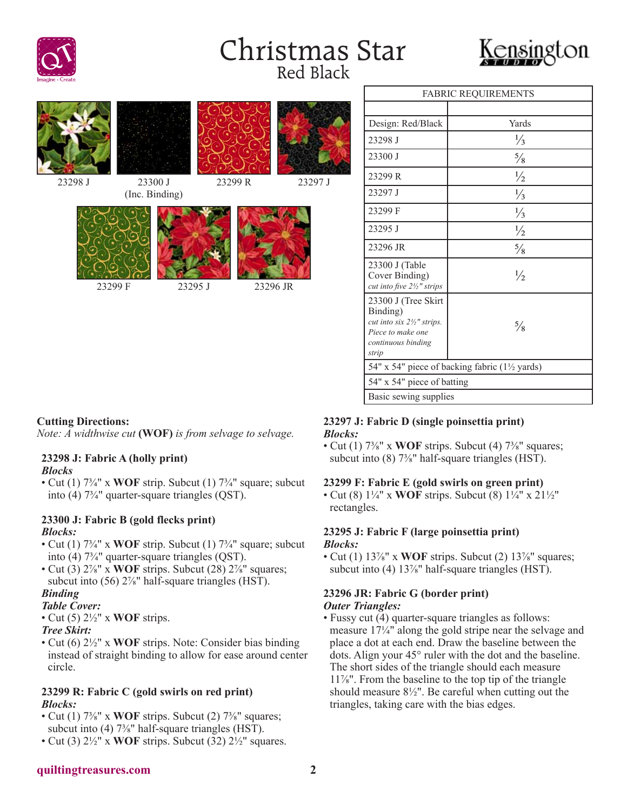







23298 J 23300 J (Inc. Binding)





23299 R 23297 J

|                                                                                                                   | <b>FADNIU NEQUINEMENTS</b>                   |
|-------------------------------------------------------------------------------------------------------------------|----------------------------------------------|
|                                                                                                                   |                                              |
| Design: Red/Black                                                                                                 | Yards                                        |
| 23298 J                                                                                                           | $\frac{1}{3}$                                |
| 23300 J                                                                                                           | $\frac{5}{8}$                                |
| 23299 R                                                                                                           | $\frac{1}{2}$                                |
| 23297 J                                                                                                           | $\frac{1}{3}$                                |
| 23299 F                                                                                                           | $\frac{1}{3}$                                |
| 23295 J                                                                                                           | $\frac{1}{2}$                                |
| 23296 JR                                                                                                          | $\frac{5}{8}$                                |
| 23300 J (Table<br>Cover Binding)<br>cut into five 21/2" strips                                                    | $\frac{1}{2}$                                |
| 23300 J (Tree Skirt<br>Binding)<br>cut into six 21/2" strips.<br>Piece to make one<br>continuous binding<br>strip | $\frac{5}{8}$                                |
|                                                                                                                   | 54" x 54" piece of backing fabric (1½ yards) |
| 54" x 54" piece of batting                                                                                        |                                              |
| Basic sewing supplies                                                                                             |                                              |

FABRIC REQUIREMENTS

# **Cutting Directions:**

*Note: A widthwise cut* **(WOF)** *is from selvage to selvage.*

# **23298 J: Fabric A (holly print)**

### *Blocks*

• Cut (1)  $7\frac{3}{4}$ " x WOF strip. Subcut (1)  $7\frac{3}{4}$ " square; subcut into (4) 7¾" quarter-square triangles (QST).

### **23300 J: Fabric B (gold flecks print)** *Blocks:*

- Cut (1) 7<sup>3</sup>/<sub>4</sub>" x **WOF** strip. Subcut (1) 7<sup>3</sup>/<sub>4</sub>" square; subcut into (4) 7¾" quarter-square triangles (QST).
- Cut (3)  $2\frac{7}{8}$ " x **WOF** strips. Subcut (28)  $2\frac{7}{8}$ " squares; subcut into (56) 2<sup>7/8</sup>" half-square triangles (HST).

# *Binding*

### *Table Cover:*

• Cut (5) 2½" x **WOF** strips.

### *Tree Skirt:*

• Cut (6) 2½" x **WOF** strips. Note: Consider bias binding instead of straight binding to allow for ease around center circle.

# **23299 R: Fabric C (gold swirls on red print)** *Blocks:*

- Cut (1)  $7\frac{3}{8}$ " x **WOF** strips. Subcut (2)  $7\frac{3}{8}$ " squares; subcut into (4) 7<sup>3</sup>/<sub>8</sub>" half-square triangles (HST).
- Cut (3) 2½" x **WOF** strips. Subcut (32) 2½" squares.

# **23297 J: Fabric D (single poinsettia print)** *Blocks:*

• Cut (1)  $7\frac{3}{8}$ " x **WOF** strips. Subcut (4)  $7\frac{3}{8}$ " squares; subcut into (8) 7<sup>3</sup>/<sub>8</sub>" half-square triangles (HST).

# **23299 F: Fabric E (gold swirls on green print)**

• Cut (8) 1¼" x **WOF** strips. Subcut (8) 1¼" x 21½" rectangles.

# **23295 J: Fabric F (large poinsettia print)** *Blocks:*

• Cut (1) 13<sup>7</sup>/<sub>8</sub>" x **WOF** strips. Subcut (2) 13<sup>7</sup>/<sub>8</sub>" squares; subcut into (4) 13<sup>7/<sub>8</sub>" half-square triangles (HST).</sup>

# **23296 JR: Fabric G (border print)** *Outer Triangles:*

• Fussy cut (4) quarter-square triangles as follows: measure 17¼" along the gold stripe near the selvage and place a dot at each end. Draw the baseline between the dots. Align your 45° ruler with the dot and the baseline. The short sides of the triangle should each measure 11⅞". From the baseline to the top tip of the triangle should measure 8½". Be careful when cutting out the triangles, taking care with the bias edges.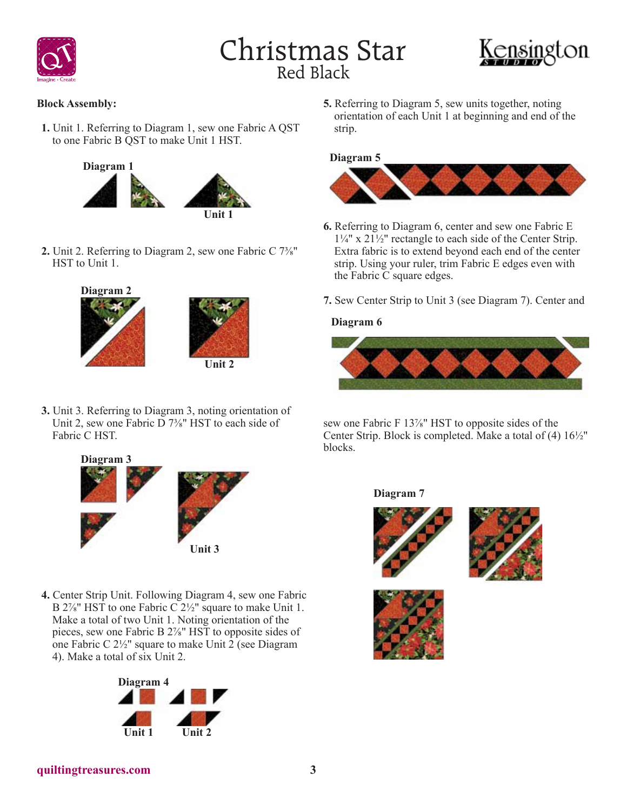



**Block Assembly:**

**1.** Unit 1. Referring to Diagram 1, sew one Fabric A QST to one Fabric B QST to make Unit 1 HST.



**2.** Unit 2. Referring to Diagram 2, sew one Fabric C 7⅜" HST to Unit 1.



**3.** Unit 3. Referring to Diagram 3, noting orientation of Unit 2, sew one Fabric  $\overline{D}$  7<sup>3</sup>/<sub>8</sub>" HST to each side of Fabric C HST.



**4.** Center Strip Unit. Following Diagram 4, sew one Fabric B 2<sup>7/s</sup>" HST to one Fabric C 2<sup>1/2</sup>" square to make Unit 1. Make a total of two Unit 1. Noting orientation of the pieces, sew one Fabric B 2⅞" HST to opposite sides of one Fabric C 2½" square to make Unit 2 (see Diagram 4). Make a total of six Unit 2.



**5.** Referring to Diagram 5, sew units together, noting orientation of each Unit 1 at beginning and end of the strip.

### **Diagram 5**



- **6.** Referring to Diagram 6, center and sew one Fabric E 1¼" x 21½" rectangle to each side of the Center Strip. Extra fabric is to extend beyond each end of the center strip. Using your ruler, trim Fabric E edges even with the Fabric C square edges.
- **7.** Sew Center Strip to Unit 3 (see Diagram 7). Center and

# **Diagram 6**



sew one Fabric F 13<sup>%</sup> HST to opposite sides of the Center Strip. Block is completed. Make a total of (4) 16½" blocks.

# **Diagram 7**